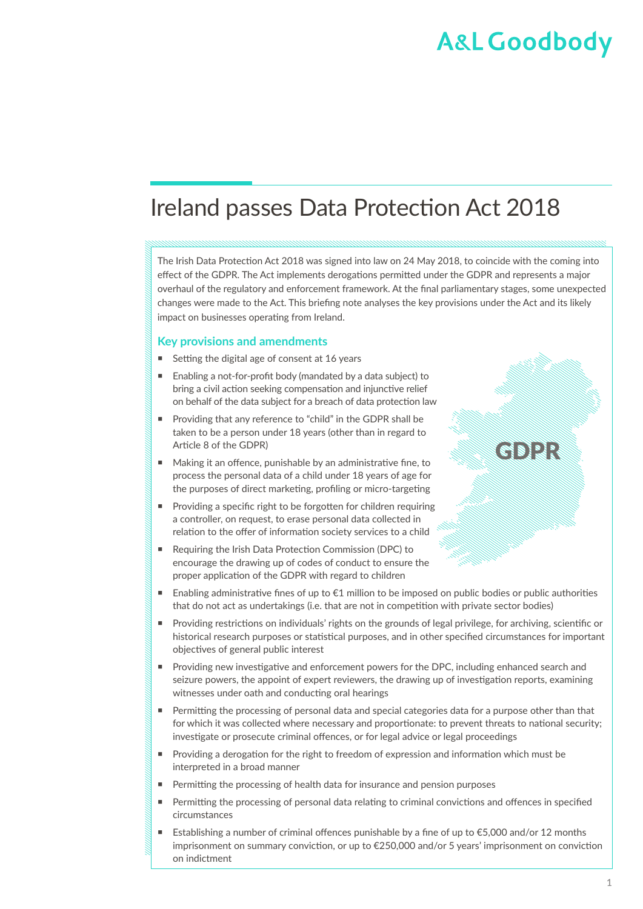## Ireland passes Data Protection Act 2018

The Irish Data Protection Act 2018 was signed into law on 24 May 2018, to coincide with the coming into effect of the GDPR. The Act implements derogations permitted under the GDPR and represents a major overhaul of the regulatory and enforcement framework. At the final parliamentary stages, some unexpected changes were made to the Act. This briefing note analyses the key provisions under the Act and its likely impact on businesses operating from Ireland.

#### **Key provisions and amendments**

- Setting the digital age of consent at 16 years
- Enabling a not-for-profit body (mandated by a data subject) to bring a civil action seeking compensation and injunctive relief on behalf of the data subject for a breach of data protection law
- Providing that any reference to "child" in the GDPR shall be taken to be a person under 18 years (other than in regard to Article 8 of the GDPR)
- Making it an offence, punishable by an administrative fine, to process the personal data of a child under 18 years of age for the purposes of direct marketing, profiling or micro-targeting
- Providing a specific right to be forgotten for children requiring a controller, on request, to erase personal data collected in relation to the offer of information society services to a child
- Requiring the Irish Data Protection Commission (DPC) to encourage the drawing up of codes of conduct to ensure the proper application of the GDPR with regard to children



- Enabling administrative fines of up to €1 million to be imposed on public bodies or public authorities that do not act as undertakings (i.e. that are not in competition with private sector bodies)
- Providing restrictions on individuals' rights on the grounds of legal privilege, for archiving, scientific or historical research purposes or statistical purposes, and in other specified circumstances for important objectives of general public interest
- Providing new investigative and enforcement powers for the DPC, including enhanced search and seizure powers, the appoint of expert reviewers, the drawing up of investigation reports, examining witnesses under oath and conducting oral hearings
- Permitting the processing of personal data and special categories data for a purpose other than that for which it was collected where necessary and proportionate: to prevent threats to national security; investigate or prosecute criminal offences, or for legal advice or legal proceedings
- Providing a derogation for the right to freedom of expression and information which must be interpreted in a broad manner
- Permitting the processing of health data for insurance and pension purposes
- **Permitting the processing of personal data relating to criminal convictions and offences in specified** circumstances
- Establishing a number of criminal offences punishable by a fine of up to €5,000 and/or 12 months imprisonment on summary conviction, or up to €250,000 and/or 5 years' imprisonment on conviction on indictment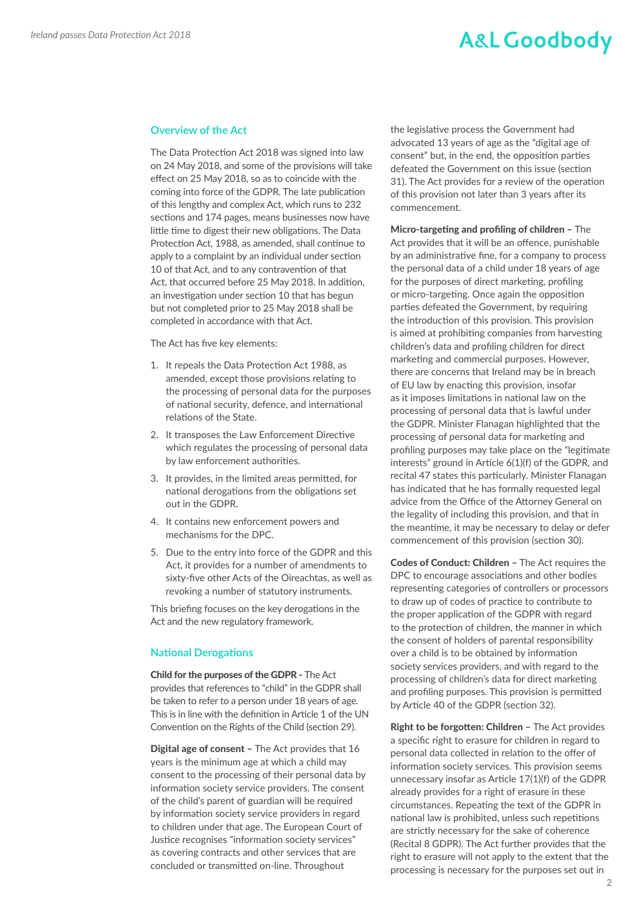#### **Overview of the Act**

The Data Protection Act 2018 was signed into law on 24 May 2018, and some of the provisions will take effect on 25 May 2018, so as to coincide with the coming into force of the GDPR. The late publication of this lengthy and complex Act, which runs to 232 sections and 174 pages, means businesses now have little time to digest their new obligations. The Data Protection Act, 1988, as amended, shall continue to apply to a complaint by an individual under section 10 of that Act, and to any contravention of that Act, that occurred before 25 May 2018. In addition, an investigation under section 10 that has begun but not completed prior to 25 May 2018 shall be completed in accordance with that Act.

The Act has five key elements:

- 1. It repeals the Data Protection Act 1988, as amended, except those provisions relating to the processing of personal data for the purposes of national security, defence, and international relations of the State.
- 2. It transposes the Law Enforcement Directive which regulates the processing of personal data by law enforcement authorities.
- 3. It provides, in the limited areas permitted, for national derogations from the obligations set out in the GDPR.
- 4. It contains new enforcement powers and mechanisms for the DPC.
- 5. Due to the entry into force of the GDPR and this Act, it provides for a number of amendments to sixty-five other Acts of the Oireachtas, as well as revoking a number of statutory instruments.

This briefing focuses on the key derogations in the Act and the new regulatory framework.

#### **National Derogations**

Child for the purposes of the GDPR - The Act provides that references to "child" in the GDPR shall be taken to refer to a person under 18 years of age. This is in line with the definition in Article 1 of the UN Convention on the Rights of the Child (section 29).

Digital age of consent – The Act provides that 16 years is the minimum age at which a child may consent to the processing of their personal data by information society service providers. The consent of the child's parent of guardian will be required by information society service providers in regard to children under that age. The European Court of Justice recognises "information society services" as covering contracts and other services that are concluded or transmitted on-line. Throughout

the legislative process the Government had advocated 13 years of age as the "digital age of consent" but, in the end, the opposition parties defeated the Government on this issue (section 31). The Act provides for a review of the operation of this provision not later than 3 years after its commencement.

Micro-targeting and profiling of children – The Act provides that it will be an offence, punishable by an administrative fine, for a company to process the personal data of a child under 18 years of age for the purposes of direct marketing, profiling or micro-targeting. Once again the opposition parties defeated the Government, by requiring the introduction of this provision. This provision is aimed at prohibiting companies from harvesting children's data and profiling children for direct marketing and commercial purposes. However, there are concerns that Ireland may be in breach of EU law by enacting this provision, insofar as it imposes limitations in national law on the processing of personal data that is lawful under the GDPR. Minister Flanagan highlighted that the processing of personal data for marketing and profiling purposes may take place on the "legitimate interests" ground in Article 6(1)(f) of the GDPR, and recital 47 states this particularly. Minister Flanagan has indicated that he has formally requested legal advice from the Office of the Attorney General on the legality of including this provision, and that in the meantime, it may be necessary to delay or defer commencement of this provision (section 30).

Codes of Conduct: Children - The Act requires the DPC to encourage associations and other bodies representing categories of controllers or processors to draw up of codes of practice to contribute to the proper application of the GDPR with regard to the protection of children, the manner in which the consent of holders of parental responsibility over a child is to be obtained by information society services providers, and with regard to the processing of children's data for direct marketing and profiling purposes. This provision is permitted by Article 40 of the GDPR (section 32).

Right to be forgotten: Children – The Act provides a specific right to erasure for children in regard to personal data collected in relation to the offer of information society services. This provision seems unnecessary insofar as Article 17(1)(f) of the GDPR already provides for a right of erasure in these circumstances. Repeating the text of the GDPR in national law is prohibited, unless such repetitions are strictly necessary for the sake of coherence (Recital 8 GDPR). The Act further provides that the right to erasure will not apply to the extent that the processing is necessary for the purposes set out in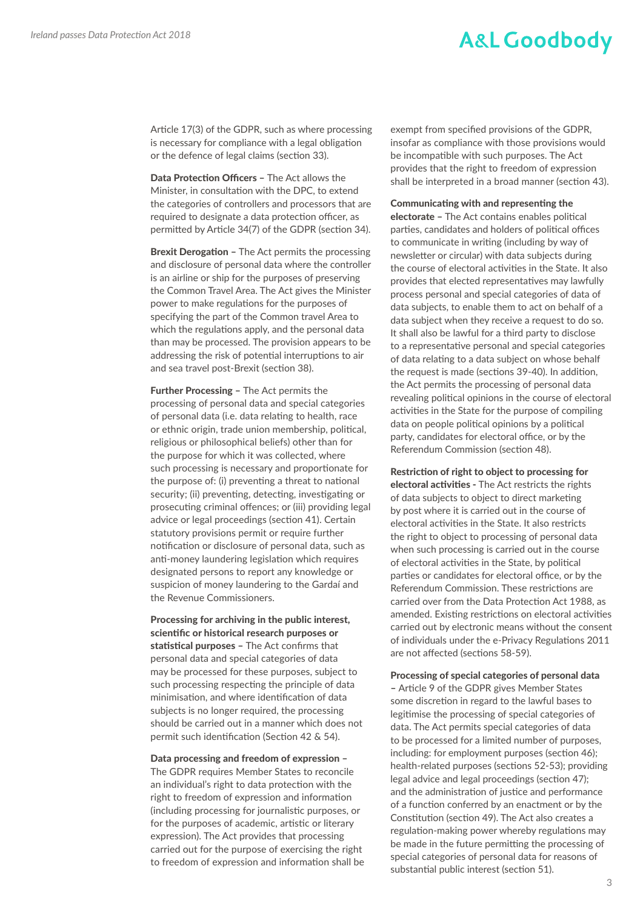Article 17(3) of the GDPR, such as where processing is necessary for compliance with a legal obligation or the defence of legal claims (section 33).

Data Protection Officers – The Act allows the Minister, in consultation with the DPC, to extend the categories of controllers and processors that are required to designate a data protection officer, as permitted by Article 34(7) of the GDPR (section 34).

**Brexit Derogation - The Act permits the processing** and disclosure of personal data where the controller is an airline or ship for the purposes of preserving the Common Travel Area. The Act gives the Minister power to make regulations for the purposes of specifying the part of the Common travel Area to which the regulations apply, and the personal data than may be processed. The provision appears to be addressing the risk of potential interruptions to air and sea travel post-Brexit (section 38).

Further Processing – The Act permits the processing of personal data and special categories of personal data (i.e. data relating to health, race or ethnic origin, trade union membership, political, religious or philosophical beliefs) other than for the purpose for which it was collected, where such processing is necessary and proportionate for the purpose of: (i) preventing a threat to national security; (ii) preventing, detecting, investigating or prosecuting criminal offences; or (iii) providing legal advice or legal proceedings (section 41). Certain statutory provisions permit or require further notification or disclosure of personal data, such as anti-money laundering legislation which requires designated persons to report any knowledge or suspicion of money laundering to the Gardaí and the Revenue Commissioners.

Processing for archiving in the public interest, scientific or historical research purposes or statistical purposes - The Act confirms that personal data and special categories of data may be processed for these purposes, subject to such processing respecting the principle of data minimisation, and where identification of data subjects is no longer required, the processing should be carried out in a manner which does not permit such identification (Section 42 & 54).

#### Data processing and freedom of expression –

The GDPR requires Member States to reconcile an individual's right to data protection with the right to freedom of expression and information (including processing for journalistic purposes, or for the purposes of academic, artistic or literary expression). The Act provides that processing carried out for the purpose of exercising the right to freedom of expression and information shall be exempt from specified provisions of the GDPR, insofar as compliance with those provisions would be incompatible with such purposes. The Act provides that the right to freedom of expression shall be interpreted in a broad manner (section 43).

#### Communicating with and representing the

electorate – The Act contains enables political parties, candidates and holders of political offices to communicate in writing (including by way of newsletter or circular) with data subjects during the course of electoral activities in the State. It also provides that elected representatives may lawfully process personal and special categories of data of data subjects, to enable them to act on behalf of a data subject when they receive a request to do so. It shall also be lawful for a third party to disclose to a representative personal and special categories of data relating to a data subject on whose behalf the request is made (sections 39-40). In addition, the Act permits the processing of personal data revealing political opinions in the course of electoral activities in the State for the purpose of compiling data on people political opinions by a political party, candidates for electoral office, or by the Referendum Commission (section 48).

Restriction of right to object to processing for electoral activities - The Act restricts the rights of data subjects to object to direct marketing by post where it is carried out in the course of electoral activities in the State. It also restricts the right to object to processing of personal data when such processing is carried out in the course of electoral activities in the State, by political parties or candidates for electoral office, or by the Referendum Commission. These restrictions are carried over from the Data Protection Act 1988, as amended. Existing restrictions on electoral activities carried out by electronic means without the consent of individuals under the e-Privacy Regulations 2011 are not affected (sections 58-59).

#### Processing of special categories of personal data

– Article 9 of the GDPR gives Member States some discretion in regard to the lawful bases to legitimise the processing of special categories of data. The Act permits special categories of data to be processed for a limited number of purposes, including: for employment purposes (section 46); health-related purposes (sections 52-53); providing legal advice and legal proceedings (section 47); and the administration of justice and performance of a function conferred by an enactment or by the Constitution (section 49). The Act also creates a regulation-making power whereby regulations may be made in the future permitting the processing of special categories of personal data for reasons of substantial public interest (section 51).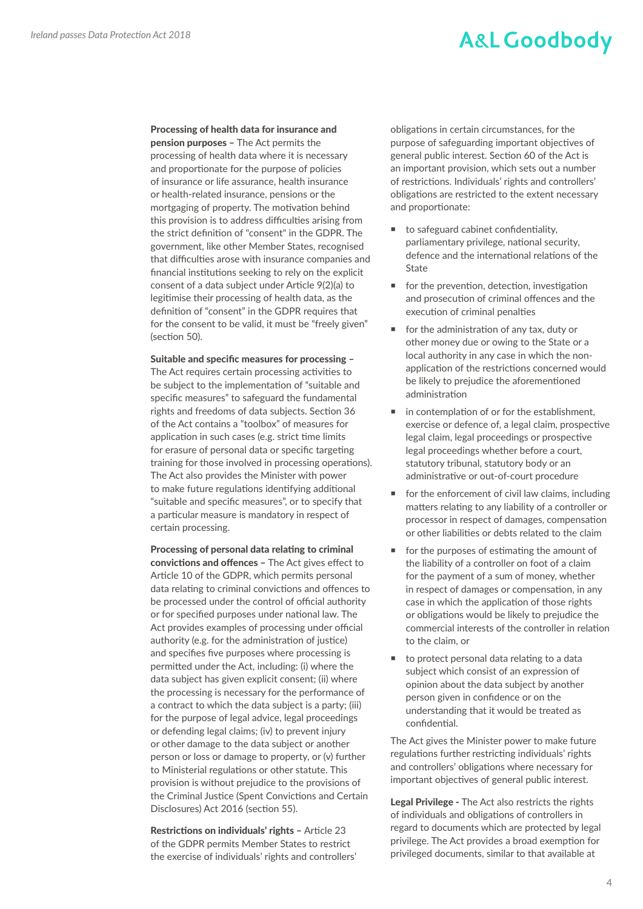### Processing of health data for insurance and

pension purposes – The Act permits the processing of health data where it is necessary and proportionate for the purpose of policies of insurance or life assurance, health insurance or health-related insurance, pensions or the mortgaging of property. The motivation behind this provision is to address difficulties arising from the strict definition of "consent" in the GDPR. The government, like other Member States, recognised that difficulties arose with insurance companies and financial institutions seeking to rely on the explicit consent of a data subject under Article 9(2)(a) to legitimise their processing of health data, as the definition of "consent" in the GDPR requires that for the consent to be valid, it must be "freely given" (section 50).

Suitable and specific measures for processing – The Act requires certain processing activities to be subject to the implementation of "suitable and specific measures" to safeguard the fundamental rights and freedoms of data subjects. Section 36 of the Act contains a "toolbox" of measures for application in such cases (e.g. strict time limits for erasure of personal data or specific targeting training for those involved in processing operations). The Act also provides the Minister with power to make future regulations identifying additional "suitable and specific measures", or to specify that a particular measure is mandatory in respect of certain processing.

Processing of personal data relating to criminal convictions and offences – The Act gives effect to Article 10 of the GDPR, which permits personal data relating to criminal convictions and offences to be processed under the control of official authority or for specified purposes under national law. The Act provides examples of processing under official authority (e.g. for the administration of justice) and specifies five purposes where processing is permitted under the Act, including: (i) where the data subject has given explicit consent; (ii) where the processing is necessary for the performance of a contract to which the data subject is a party; (iii) for the purpose of legal advice, legal proceedings or defending legal claims; (iv) to prevent injury or other damage to the data subject or another person or loss or damage to property, or (v) further to Ministerial regulations or other statute. This provision is without prejudice to the provisions of the Criminal Justice (Spent Convictions and Certain Disclosures) Act 2016 (section 55).

Restrictions on individuals' rights - Article 23 of the GDPR permits Member States to restrict the exercise of individuals' rights and controllers' obligations in certain circumstances, for the purpose of safeguarding important objectives of general public interest. Section 60 of the Act is an important provision, which sets out a number of restrictions. Individuals' rights and controllers' obligations are restricted to the extent necessary and proportionate:

- to safeguard cabinet confidentiality, parliamentary privilege, national security, defence and the international relations of the State
- **for the prevention, detection, investigation** and prosecution of criminal offences and the execution of criminal penalties
- $\blacksquare$  for the administration of any tax, duty or other money due or owing to the State or a local authority in any case in which the nonapplication of the restrictions concerned would be likely to prejudice the aforementioned administration
- in contemplation of or for the establishment, exercise or defence of, a legal claim, prospective legal claim, legal proceedings or prospective legal proceedings whether before a court, statutory tribunal, statutory body or an administrative or out-of-court procedure
- for the enforcement of civil law claims, including matters relating to any liability of a controller or processor in respect of damages, compensation or other liabilities or debts related to the claim
- for the purposes of estimating the amount of the liability of a controller on foot of a claim for the payment of a sum of money, whether in respect of damages or compensation, in any case in which the application of those rights or obligations would be likely to prejudice the commercial interests of the controller in relation to the claim, or
- to protect personal data relating to a data subject which consist of an expression of opinion about the data subject by another person given in confidence or on the understanding that it would be treated as confidential.

The Act gives the Minister power to make future regulations further restricting individuals' rights and controllers' obligations where necessary for important objectives of general public interest.

Legal Privilege - The Act also restricts the rights of individuals and obligations of controllers in regard to documents which are protected by legal privilege. The Act provides a broad exemption for privileged documents, similar to that available at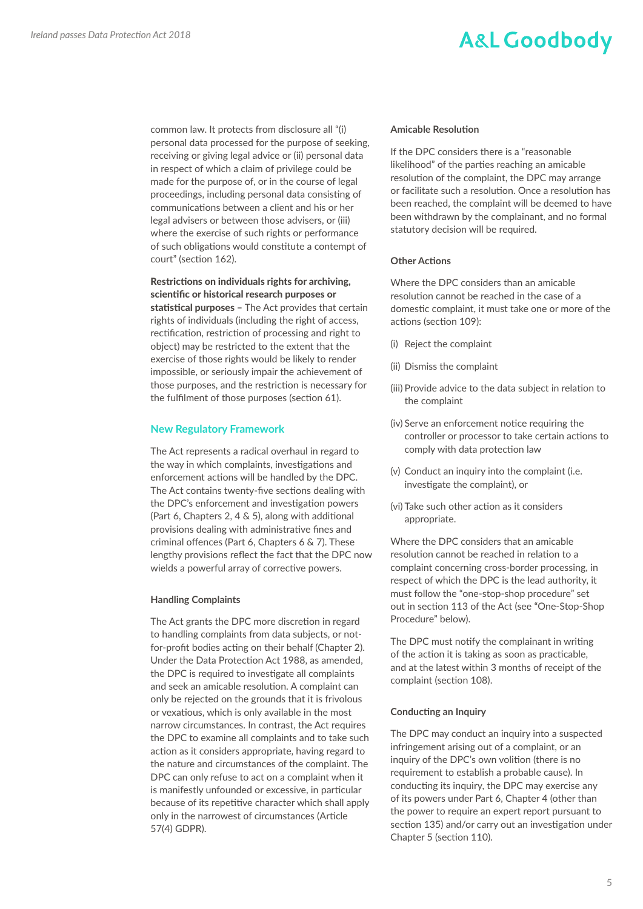common law. It protects from disclosure all "(i) personal data processed for the purpose of seeking, receiving or giving legal advice or (ii) personal data in respect of which a claim of privilege could be made for the purpose of, or in the course of legal proceedings, including personal data consisting of communications between a client and his or her legal advisers or between those advisers, or (iii) where the exercise of such rights or performance of such obligations would constitute a contempt of court" (section 162).

### Restrictions on individuals rights for archiving, scientific or historical research purposes or

statistical purposes - The Act provides that certain rights of individuals (including the right of access, rectification, restriction of processing and right to object) may be restricted to the extent that the exercise of those rights would be likely to render impossible, or seriously impair the achievement of those purposes, and the restriction is necessary for the fulfilment of those purposes (section 61).

#### **New Regulatory Framework**

The Act represents a radical overhaul in regard to the way in which complaints, investigations and enforcement actions will be handled by the DPC. The Act contains twenty-five sections dealing with the DPC's enforcement and investigation powers (Part 6, Chapters 2, 4 & 5), along with additional provisions dealing with administrative fines and criminal offences (Part 6, Chapters 6 & 7). These lengthy provisions reflect the fact that the DPC now wields a powerful array of corrective powers.

#### **Handling Complaints**

The Act grants the DPC more discretion in regard to handling complaints from data subjects, or notfor-profit bodies acting on their behalf (Chapter 2). Under the Data Protection Act 1988, as amended, the DPC is required to investigate all complaints and seek an amicable resolution. A complaint can only be rejected on the grounds that it is frivolous or vexatious, which is only available in the most narrow circumstances. In contrast, the Act requires the DPC to examine all complaints and to take such action as it considers appropriate, having regard to the nature and circumstances of the complaint. The DPC can only refuse to act on a complaint when it is manifestly unfounded or excessive, in particular because of its repetitive character which shall apply only in the narrowest of circumstances (Article 57(4) GDPR).

#### **Amicable Resolution**

If the DPC considers there is a "reasonable likelihood" of the parties reaching an amicable resolution of the complaint, the DPC may arrange or facilitate such a resolution. Once a resolution has been reached, the complaint will be deemed to have been withdrawn by the complainant, and no formal statutory decision will be required.

#### **Other Actions**

Where the DPC considers than an amicable resolution cannot be reached in the case of a domestic complaint, it must take one or more of the actions (section 109):

- (i) Reject the complaint
- (ii) Dismiss the complaint
- (iii) Provide advice to the data subject in relation to the complaint
- (iv) Serve an enforcement notice requiring the controller or processor to take certain actions to comply with data protection law
- (v) Conduct an inquiry into the complaint (i.e. investigate the complaint), or
- (vi) Take such other action as it considers appropriate.

Where the DPC considers that an amicable resolution cannot be reached in relation to a complaint concerning cross-border processing, in respect of which the DPC is the lead authority, it must follow the "one-stop-shop procedure" set out in section 113 of the Act (see "One-Stop-Shop Procedure" below).

The DPC must notify the complainant in writing of the action it is taking as soon as practicable, and at the latest within 3 months of receipt of the complaint (section 108).

#### **Conducting an Inquiry**

The DPC may conduct an inquiry into a suspected infringement arising out of a complaint, or an inquiry of the DPC's own volition (there is no requirement to establish a probable cause). In conducting its inquiry, the DPC may exercise any of its powers under Part 6, Chapter 4 (other than the power to require an expert report pursuant to section 135) and/or carry out an investigation under Chapter 5 (section 110).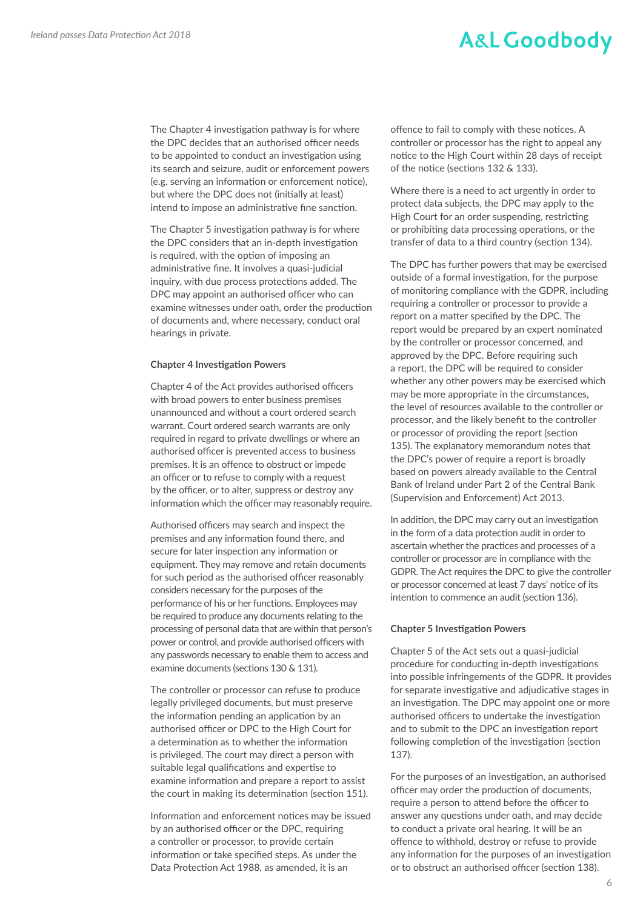The Chapter 4 investigation pathway is for where the DPC decides that an authorised officer needs to be appointed to conduct an investigation using its search and seizure, audit or enforcement powers (e.g. serving an information or enforcement notice), but where the DPC does not (initially at least) intend to impose an administrative fine sanction.

The Chapter 5 investigation pathway is for where the DPC considers that an in-depth investigation is required, with the option of imposing an administrative fine. It involves a quasi-judicial inquiry, with due process protections added. The DPC may appoint an authorised officer who can examine witnesses under oath, order the production of documents and, where necessary, conduct oral hearings in private.

#### **Chapter 4 Investigation Powers**

Chapter 4 of the Act provides authorised officers with broad powers to enter business premises unannounced and without a court ordered search warrant. Court ordered search warrants are only required in regard to private dwellings or where an authorised officer is prevented access to business premises. It is an offence to obstruct or impede an officer or to refuse to comply with a request by the officer, or to alter, suppress or destroy any information which the officer may reasonably require.

Authorised officers may search and inspect the premises and any information found there, and secure for later inspection any information or equipment. They may remove and retain documents for such period as the authorised officer reasonably considers necessary for the purposes of the performance of his or her functions. Employees may be required to produce any documents relating to the processing of personal data that are within that person's power or control, and provide authorised officers with any passwords necessary to enable them to access and examine documents (sections 130 & 131).

The controller or processor can refuse to produce legally privileged documents, but must preserve the information pending an application by an authorised officer or DPC to the High Court for a determination as to whether the information is privileged. The court may direct a person with suitable legal qualifications and expertise to examine information and prepare a report to assist the court in making its determination (section 151).

Information and enforcement notices may be issued by an authorised officer or the DPC, requiring a controller or processor, to provide certain information or take specified steps. As under the Data Protection Act 1988, as amended, it is an

offence to fail to comply with these notices. A controller or processor has the right to appeal any notice to the High Court within 28 days of receipt of the notice (sections 132 & 133).

Where there is a need to act urgently in order to protect data subjects, the DPC may apply to the High Court for an order suspending, restricting or prohibiting data processing operations, or the transfer of data to a third country (section 134).

The DPC has further powers that may be exercised outside of a formal investigation, for the purpose of monitoring compliance with the GDPR, including requiring a controller or processor to provide a report on a matter specified by the DPC. The report would be prepared by an expert nominated by the controller or processor concerned, and approved by the DPC. Before requiring such a report, the DPC will be required to consider whether any other powers may be exercised which may be more appropriate in the circumstances, the level of resources available to the controller or processor, and the likely benefit to the controller or processor of providing the report (section 135). The explanatory memorandum notes that the DPC's power of require a report is broadly based on powers already available to the Central Bank of Ireland under Part 2 of the Central Bank (Supervision and Enforcement) Act 2013.

In addition, the DPC may carry out an investigation in the form of a data protection audit in order to ascertain whether the practices and processes of a controller or processor are in compliance with the GDPR. The Act requires the DPC to give the controller or processor concerned at least 7 days' notice of its intention to commence an audit (section 136).

#### **Chapter 5 Investigation Powers**

Chapter 5 of the Act sets out a quasi-judicial procedure for conducting in-depth investigations into possible infringements of the GDPR. It provides for separate investigative and adjudicative stages in an investigation. The DPC may appoint one or more authorised officers to undertake the investigation and to submit to the DPC an investigation report following completion of the investigation (section 137).

For the purposes of an investigation, an authorised officer may order the production of documents, require a person to attend before the officer to answer any questions under oath, and may decide to conduct a private oral hearing. It will be an offence to withhold, destroy or refuse to provide any information for the purposes of an investigation or to obstruct an authorised officer (section 138).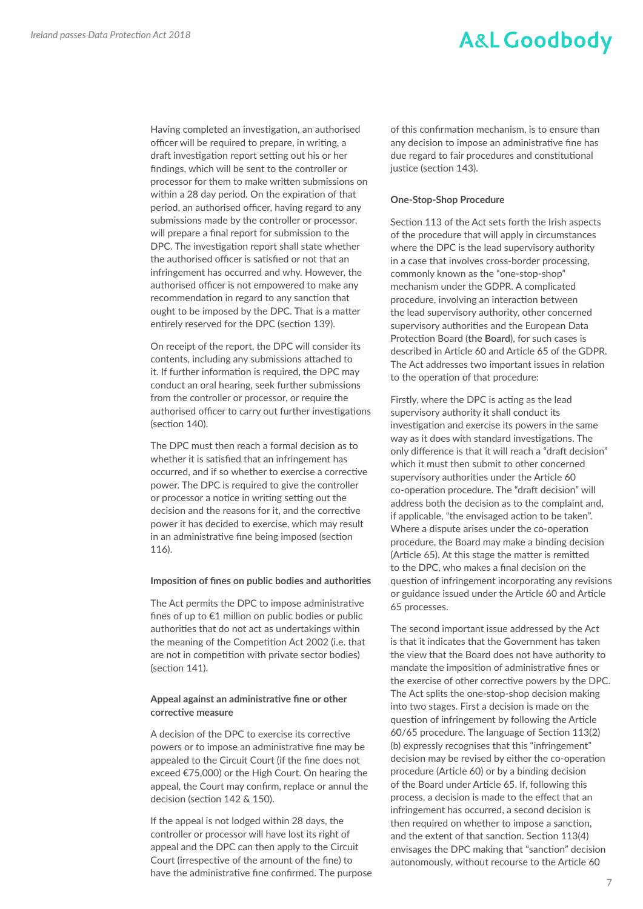Having completed an investigation, an authorised officer will be required to prepare, in writing, a draft investigation report setting out his or her findings, which will be sent to the controller or processor for them to make written submissions on within a 28 day period. On the expiration of that period, an authorised officer, having regard to any submissions made by the controller or processor, will prepare a final report for submission to the DPC. The investigation report shall state whether the authorised officer is satisfied or not that an infringement has occurred and why. However, the authorised officer is not empowered to make any recommendation in regard to any sanction that ought to be imposed by the DPC. That is a matter entirely reserved for the DPC (section 139).

On receipt of the report, the DPC will consider its contents, including any submissions attached to it. If further information is required, the DPC may conduct an oral hearing, seek further submissions from the controller or processor, or require the authorised officer to carry out further investigations (section 140).

The DPC must then reach a formal decision as to whether it is satisfied that an infringement has occurred, and if so whether to exercise a corrective power. The DPC is required to give the controller or processor a notice in writing setting out the decision and the reasons for it, and the corrective power it has decided to exercise, which may result in an administrative fine being imposed (section 116).

#### **Imposition of fines on public bodies and authorities**

The Act permits the DPC to impose administrative fines of up to €1 million on public bodies or public authorities that do not act as undertakings within the meaning of the Competition Act 2002 (i.e. that are not in competition with private sector bodies) (section 141).

#### **Appeal against an administrative fine or other corrective measure**

A decision of the DPC to exercise its corrective powers or to impose an administrative fine may be appealed to the Circuit Court (if the fine does not exceed €75,000) or the High Court. On hearing the appeal, the Court may confirm, replace or annul the decision (section 142 & 150).

If the appeal is not lodged within 28 days, the controller or processor will have lost its right of appeal and the DPC can then apply to the Circuit Court (irrespective of the amount of the fine) to have the administrative fine confirmed. The purpose of this confirmation mechanism, is to ensure than any decision to impose an administrative fine has due regard to fair procedures and constitutional justice (section 143).

#### **One-Stop-Shop Procedure**

Section 113 of the Act sets forth the Irish aspects of the procedure that will apply in circumstances where the DPC is the lead supervisory authority in a case that involves cross-border processing, commonly known as the "one-stop-shop" mechanism under the GDPR. A complicated procedure, involving an interaction between the lead supervisory authority, other concerned supervisory authorities and the European Data Protection Board (**the Board**), for such cases is described in Article 60 and Article 65 of the GDPR. The Act addresses two important issues in relation to the operation of that procedure:

Firstly, where the DPC is acting as the lead supervisory authority it shall conduct its investigation and exercise its powers in the same way as it does with standard investigations. The only difference is that it will reach a "draft decision" which it must then submit to other concerned supervisory authorities under the Article 60 co-operation procedure. The "draft decision" will address both the decision as to the complaint and, if applicable, "the envisaged action to be taken". Where a dispute arises under the co-operation procedure, the Board may make a binding decision (Article 65). At this stage the matter is remitted to the DPC, who makes a final decision on the question of infringement incorporating any revisions or guidance issued under the Article 60 and Article 65 processes.

The second important issue addressed by the Act is that it indicates that the Government has taken the view that the Board does not have authority to mandate the imposition of administrative fines or the exercise of other corrective powers by the DPC. The Act splits the one-stop-shop decision making into two stages. First a decision is made on the question of infringement by following the Article 60/65 procedure. The language of Section 113(2) (b) expressly recognises that this "infringement" decision may be revised by either the co-operation procedure (Article 60) or by a binding decision of the Board under Article 65. If, following this process, a decision is made to the effect that an infringement has occurred, a second decision is then required on whether to impose a sanction, and the extent of that sanction. Section 113(4) envisages the DPC making that "sanction" decision autonomously, without recourse to the Article 60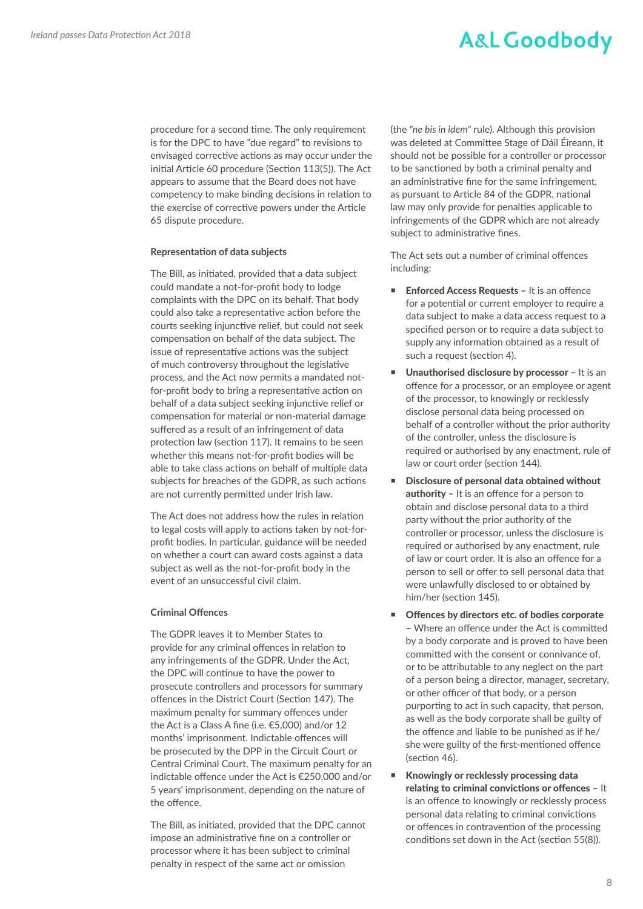procedure for a second time. The only requirement is for the DPC to have "due regard" to revisions to envisaged corrective actions as may occur under the initial Article 60 procedure (Section 113(5)). The Act appears to assume that the Board does not have competency to make binding decisions in relation to the exercise of corrective powers under the Article 65 dispute procedure.

#### **Representation of data subjects**

The Bill, as initiated, provided that a data subject could mandate a not-for-profit body to lodge complaints with the DPC on its behalf. That body could also take a representative action before the courts seeking injunctive relief, but could not seek compensation on behalf of the data subject. The issue of representative actions was the subject of much controversy throughout the legislative process, and the Act now permits a mandated notfor-profit body to bring a representative action on behalf of a data subject seeking injunctive relief or compensation for material or non-material damage suffered as a result of an infringement of data protection law (section 117). It remains to be seen whether this means not-for-profit bodies will be able to take class actions on behalf of multiple data subjects for breaches of the GDPR, as such actions are not currently permitted under Irish law.

The Act does not address how the rules in relation to legal costs will apply to actions taken by not-forprofit bodies. In particular, guidance will be needed on whether a court can award costs against a data subject as well as the not-for-profit body in the event of an unsuccessful civil claim.

#### **Criminal Offences**

The GDPR leaves it to Member States to provide for any criminal offences in relation to any infringements of the GDPR. Under the Act, the DPC will continue to have the power to prosecute controllers and processors for summary offences in the District Court (Section 147). The maximum penalty for summary offences under the Act is a Class A fine (i.e. €5,000) and/or 12 months' imprisonment. Indictable offences will be prosecuted by the DPP in the Circuit Court or Central Criminal Court. The maximum penalty for an indictable offence under the Act is €250,000 and/or 5 years' imprisonment, depending on the nature of the offence.

The Bill, as initiated, provided that the DPC cannot impose an administrative fine on a controller or processor where it has been subject to criminal penalty in respect of the same act or omission

(the *"ne bis in idem"* rule). Although this provision was deleted at Committee Stage of Dáil Éireann, it should not be possible for a controller or processor to be sanctioned by both a criminal penalty and an administrative fine for the same infringement, as pursuant to Article 84 of the GDPR, national law may only provide for penalties applicable to infringements of the GDPR which are not already subject to administrative fines.

The Act sets out a number of criminal offences including:

- Enforced Access Requests It is an offence for a potential or current employer to require a data subject to make a data access request to a specified person or to require a data subject to supply any information obtained as a result of such a request (section 4).
- Unauthorised disclosure by processor It is an offence for a processor, or an employee or agent of the processor, to knowingly or recklessly disclose personal data being processed on behalf of a controller without the prior authority of the controller, unless the disclosure is required or authorised by any enactment, rule of law or court order (section 144).
- **Disclosure of personal data obtained without** authority – It is an offence for a person to obtain and disclose personal data to a third party without the prior authority of the controller or processor, unless the disclosure is required or authorised by any enactment, rule of law or court order. It is also an offence for a person to sell or offer to sell personal data that were unlawfully disclosed to or obtained by him/her (section 145).
- Offences by directors etc. of bodies corporate – Where an offence under the Act is committed by a body corporate and is proved to have been committed with the consent or connivance of, or to be attributable to any neglect on the part of a person being a director, manager, secretary, or other officer of that body, or a person purporting to act in such capacity, that person, as well as the body corporate shall be guilty of the offence and liable to be punished as if he/ she were guilty of the first-mentioned offence (section 46).
- Knowingly or recklessly processing data relating to criminal convictions or offences – It is an offence to knowingly or recklessly process personal data relating to criminal convictions or offences in contravention of the processing conditions set down in the Act (section 55(8)).